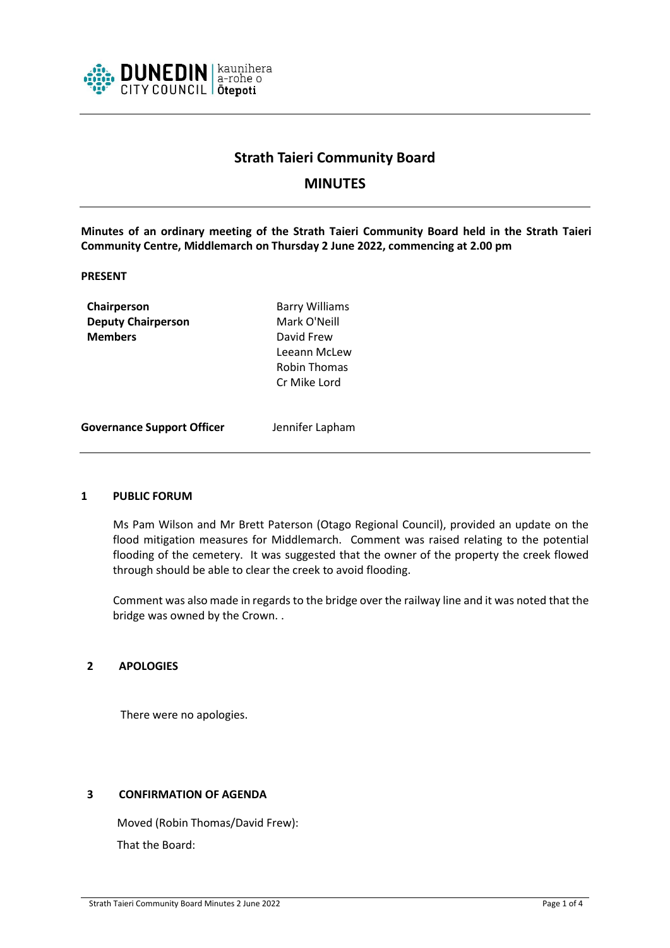

# **Strath Taieri Community Board**

# **MINUTES**

**Minutes of an ordinary meeting of the Strath Taieri Community Board held in the Strath Taieri Community Centre, Middlemarch on Thursday 2 June 2022, commencing at 2.00 pm**

### **PRESENT**

**Chairperson** Barry Williams **Deputy Chairperson** Mark O'Neill **Members** David Frew

Leeann McLew Robin Thomas Cr Mike Lord

**Governance Support Officer** Jennifer Lapham

#### **1 PUBLIC FORUM**

Ms Pam Wilson and Mr Brett Paterson (Otago Regional Council), provided an update on the flood mitigation measures for Middlemarch. Comment was raised relating to the potential flooding of the cemetery. It was suggested that the owner of the property the creek flowed through should be able to clear the creek to avoid flooding.

Comment was also made in regards to the bridge over the railway line and it was noted that the bridge was owned by the Crown. .

#### **2 APOLOGIES**

There were no apologies.

# **3 CONFIRMATION OF AGENDA**

Moved (Robin Thomas/David Frew): That the Board: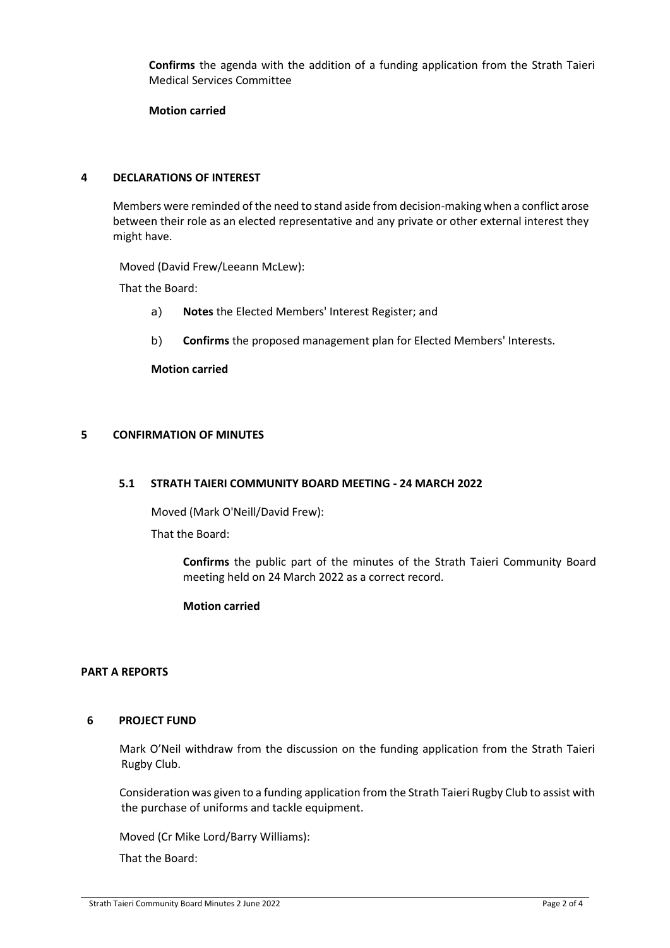**Confirms** the agenda with the addition of a funding application from the Strath Taieri Medical Services Committee

**Motion carried**

# **4 DECLARATIONS OF INTEREST**

Members were reminded of the need to stand aside from decision-making when a conflict arose between their role as an elected representative and any private or other external interest they might have.

Moved (David Frew/Leeann McLew):

That the Board:

- a) **Notes** the Elected Members' Interest Register; and
- b) **Confirms** the proposed management plan for Elected Members' Interests.

**Motion carried**

### **5 CONFIRMATION OF MINUTES**

#### **5.1 STRATH TAIERI COMMUNITY BOARD MEETING - 24 MARCH 2022**

Moved (Mark O'Neill/David Frew):

That the Board:

**Confirms** the public part of the minutes of the Strath Taieri Community Board meeting held on 24 March 2022 as a correct record.

#### **Motion carried**

#### **PART A REPORTS**

#### **6 PROJECT FUND**

Mark O'Neil withdraw from the discussion on the funding application from the Strath Taieri Rugby Club.

Consideration was given to a funding application from the Strath Taieri Rugby Club to assist with the purchase of uniforms and tackle equipment.

Moved (Cr Mike Lord/Barry Williams):

That the Board: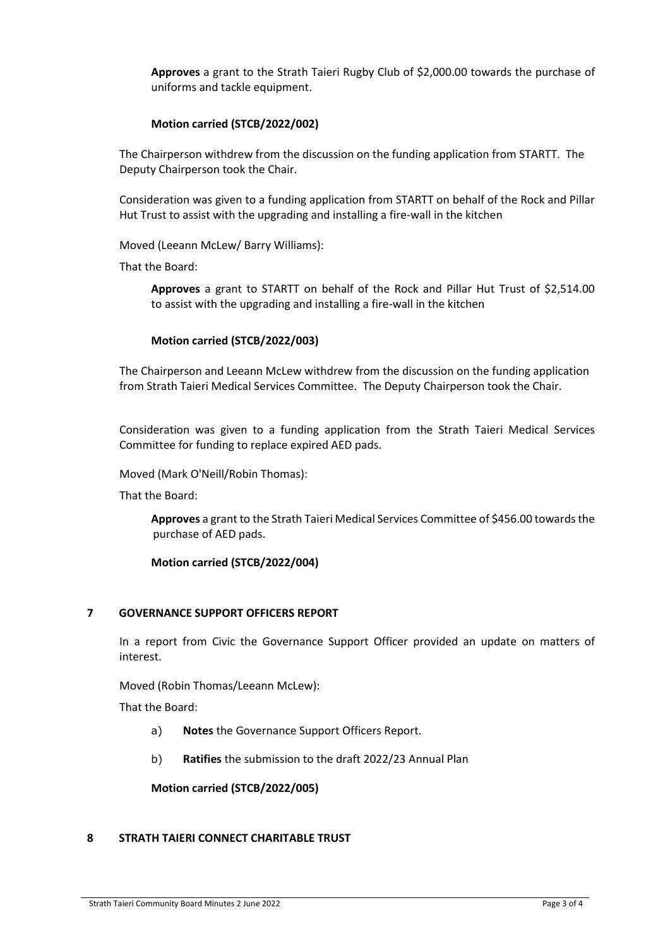**Approves** a grant to the Strath Taieri Rugby Club of \$2,000.00 towards the purchase of uniforms and tackle equipment.

# **Motion carried (STCB/2022/002)**

The Chairperson withdrew from the discussion on the funding application from STARTT. The Deputy Chairperson took the Chair.

Consideration was given to a funding application from STARTT on behalf of the Rock and Pillar Hut Trust to assist with the upgrading and installing a fire-wall in the kitchen

Moved (Leeann McLew/ Barry Williams):

That the Board:

**Approves** a grant to STARTT on behalf of the Rock and Pillar Hut Trust of \$2,514.00 to assist with the upgrading and installing a fire-wall in the kitchen

### **Motion carried (STCB/2022/003)**

The Chairperson and Leeann McLew withdrew from the discussion on the funding application from Strath Taieri Medical Services Committee. The Deputy Chairperson took the Chair.

Consideration was given to a funding application from the Strath Taieri Medical Services Committee for funding to replace expired AED pads.

Moved (Mark O'Neill/Robin Thomas):

That the Board:

**Approves** a grant to the Strath Taieri Medical Services Committee of \$456.00 towards the purchase of AED pads.

#### **Motion carried (STCB/2022/004)**

# **7 GOVERNANCE SUPPORT OFFICERS REPORT**

In a report from Civic the Governance Support Officer provided an update on matters of interest.

Moved (Robin Thomas/Leeann McLew):

That the Board:

- a) **Notes** the Governance Support Officers Report.
- b) **Ratifies** the submission to the draft 2022/23 Annual Plan

**Motion carried (STCB/2022/005)**

#### **8 STRATH TAIERI CONNECT CHARITABLE TRUST**